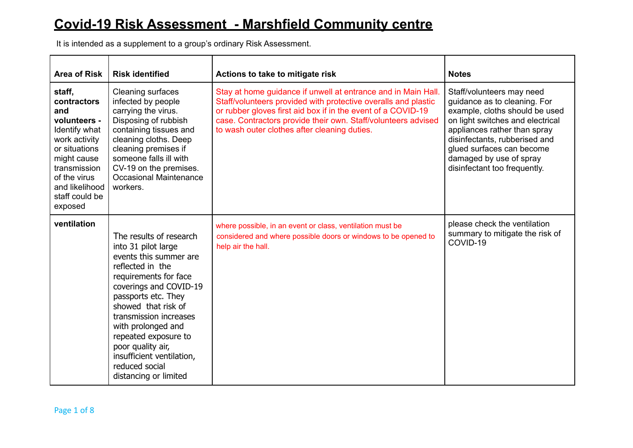## **Covid-19 Risk Assessment - Marshfield Community centre**

It is intended as a supplement to a group's ordinary Risk Assessment.

| <b>Area of Risk</b>                                                                                                                                                                           | <b>Risk identified</b>                                                                                                                                                                                                                                                                                                                                             | Actions to take to mitigate risk                                                                                                                                                                                                                                                                                 | <b>Notes</b>                                                                                                                                                                                                                                                                             |
|-----------------------------------------------------------------------------------------------------------------------------------------------------------------------------------------------|--------------------------------------------------------------------------------------------------------------------------------------------------------------------------------------------------------------------------------------------------------------------------------------------------------------------------------------------------------------------|------------------------------------------------------------------------------------------------------------------------------------------------------------------------------------------------------------------------------------------------------------------------------------------------------------------|------------------------------------------------------------------------------------------------------------------------------------------------------------------------------------------------------------------------------------------------------------------------------------------|
| staff,<br>contractors<br>and<br>volunteers -<br>Identify what<br>work activity<br>or situations<br>might cause<br>transmission<br>of the virus<br>and likelihood<br>staff could be<br>exposed | <b>Cleaning surfaces</b><br>infected by people<br>carrying the virus.<br>Disposing of rubbish<br>containing tissues and<br>cleaning cloths. Deep<br>cleaning premises if<br>someone falls ill with<br>CV-19 on the premises.<br><b>Occasional Maintenance</b><br>workers.                                                                                          | Stay at home guidance if unwell at entrance and in Main Hall.<br>Staff/volunteers provided with protective overalls and plastic<br>or rubber gloves first aid box if in the event of a COVID-19<br>case. Contractors provide their own. Staff/volunteers advised<br>to wash outer clothes after cleaning duties. | Staff/volunteers may need<br>quidance as to cleaning. For<br>example, cloths should be used<br>on light switches and electrical<br>appliances rather than spray<br>disinfectants, rubberised and<br>glued surfaces can become<br>damaged by use of spray<br>disinfectant too frequently. |
| ventilation                                                                                                                                                                                   | The results of research<br>into 31 pilot large<br>events this summer are<br>reflected in the<br>requirements for face<br>coverings and COVID-19<br>passports etc. They<br>showed that risk of<br>transmission increases<br>with prolonged and<br>repeated exposure to<br>poor quality air,<br>insufficient ventilation,<br>reduced social<br>distancing or limited | where possible, in an event or class, ventilation must be<br>considered and where possible doors or windows to be opened to<br>help air the hall.                                                                                                                                                                | please check the ventilation<br>summary to mitigate the risk of<br>COVID-19                                                                                                                                                                                                              |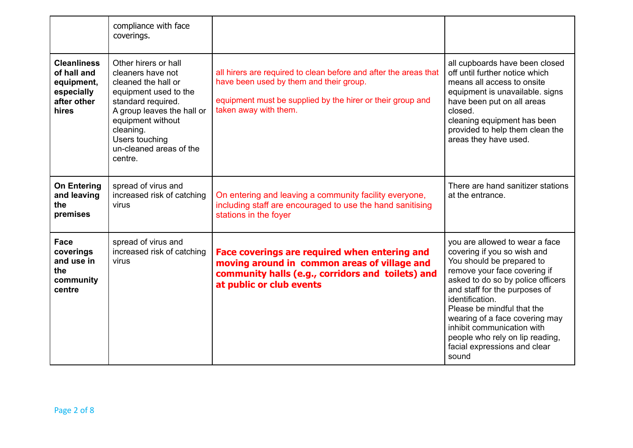|                                                                                       | compliance with face<br>coverings.                                                                                                                                                                                                      |                                                                                                                                                                                                    |                                                                                                                                                                                                                                                                                                                                                                                               |
|---------------------------------------------------------------------------------------|-----------------------------------------------------------------------------------------------------------------------------------------------------------------------------------------------------------------------------------------|----------------------------------------------------------------------------------------------------------------------------------------------------------------------------------------------------|-----------------------------------------------------------------------------------------------------------------------------------------------------------------------------------------------------------------------------------------------------------------------------------------------------------------------------------------------------------------------------------------------|
| <b>Cleanliness</b><br>of hall and<br>equipment,<br>especially<br>after other<br>hires | Other hirers or hall<br>cleaners have not<br>cleaned the hall or<br>equipment used to the<br>standard required.<br>A group leaves the hall or<br>equipment without<br>cleaning.<br>Users touching<br>un-cleaned areas of the<br>centre. | all hirers are required to clean before and after the areas that<br>have been used by them and their group.<br>equipment must be supplied by the hirer or their group and<br>taken away with them. | all cupboards have been closed<br>off until further notice which<br>means all access to onsite<br>equipment is unavailable. signs<br>have been put on all areas<br>closed.<br>cleaning equipment has been<br>provided to help them clean the<br>areas they have used.                                                                                                                         |
| <b>On Entering</b><br>and leaving<br>the<br>premises                                  | spread of virus and<br>increased risk of catching<br>virus                                                                                                                                                                              | On entering and leaving a community facility everyone,<br>including staff are encouraged to use the hand sanitising<br>stations in the foyer                                                       | There are hand sanitizer stations<br>at the entrance.                                                                                                                                                                                                                                                                                                                                         |
| Face<br>coverings<br>and use in<br>the<br>community<br>centre                         | spread of virus and<br>increased risk of catching<br>virus                                                                                                                                                                              | Face coverings are required when entering and<br>moving around in common areas of village and<br>community halls (e.g., corridors and toilets) and<br>at public or club events                     | you are allowed to wear a face<br>covering if you so wish and<br>You should be prepared to<br>remove your face covering if<br>asked to do so by police officers<br>and staff for the purposes of<br>identification.<br>Please be mindful that the<br>wearing of a face covering may<br>inhibit communication with<br>people who rely on lip reading,<br>facial expressions and clear<br>sound |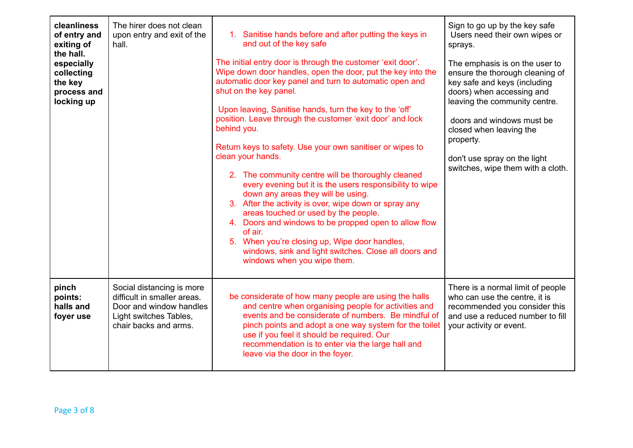| cleanliness<br>of entry and<br>exiting of<br>the hall.<br>especially<br>collecting<br>the key<br>process and<br>locking up | The hirer does not clean<br>upon entry and exit of the<br>hall.                                                                        | 1. Sanitise hands before and after putting the keys in<br>and out of the key safe<br>The initial entry door is through the customer 'exit door'.<br>Wipe down door handles, open the door, put the key into the<br>automatic door key panel and turn to automatic open and<br>shut on the key panel.<br>Upon leaving, Sanitise hands, turn the key to the 'off'<br>position. Leave through the customer 'exit door' and lock<br>behind you.<br>Return keys to safety. Use your own sanitiser or wipes to<br>clean your hands.<br>2. The community centre will be thoroughly cleaned<br>every evening but it is the users responsibility to wipe<br>down any areas they will be using.<br>3. After the activity is over, wipe down or spray any<br>areas touched or used by the people.<br>4. Doors and windows to be propped open to allow flow<br>of air.<br>5. When you're closing up, Wipe door handles,<br>windows, sink and light switches. Close all doors and<br>windows when you wipe them. | Sign to go up by the key safe<br>Users need their own wipes or<br>sprays.<br>The emphasis is on the user to<br>ensure the thorough cleaning of<br>key safe and keys (including<br>doors) when accessing and<br>leaving the community centre.<br>doors and windows must be<br>closed when leaving the<br>property.<br>don't use spray on the light<br>switches, wipe them with a cloth. |
|----------------------------------------------------------------------------------------------------------------------------|----------------------------------------------------------------------------------------------------------------------------------------|-----------------------------------------------------------------------------------------------------------------------------------------------------------------------------------------------------------------------------------------------------------------------------------------------------------------------------------------------------------------------------------------------------------------------------------------------------------------------------------------------------------------------------------------------------------------------------------------------------------------------------------------------------------------------------------------------------------------------------------------------------------------------------------------------------------------------------------------------------------------------------------------------------------------------------------------------------------------------------------------------------|----------------------------------------------------------------------------------------------------------------------------------------------------------------------------------------------------------------------------------------------------------------------------------------------------------------------------------------------------------------------------------------|
| pinch<br>points:<br>halls and<br>foyer use                                                                                 | Social distancing is more<br>difficult in smaller areas.<br>Door and window handles<br>Light switches Tables,<br>chair backs and arms. | be considerate of how many people are using the halls<br>and centre when organising people for activities and<br>events and be considerate of numbers. Be mindful of<br>pinch points and adopt a one way system for the toilet<br>use if you feel it should be required. Our<br>recommendation is to enter via the large hall and<br>leave via the door in the foyer.                                                                                                                                                                                                                                                                                                                                                                                                                                                                                                                                                                                                                               | There is a normal limit of people<br>who can use the centre, it is<br>recommended you consider this<br>and use a reduced number to fill<br>your activity or event.                                                                                                                                                                                                                     |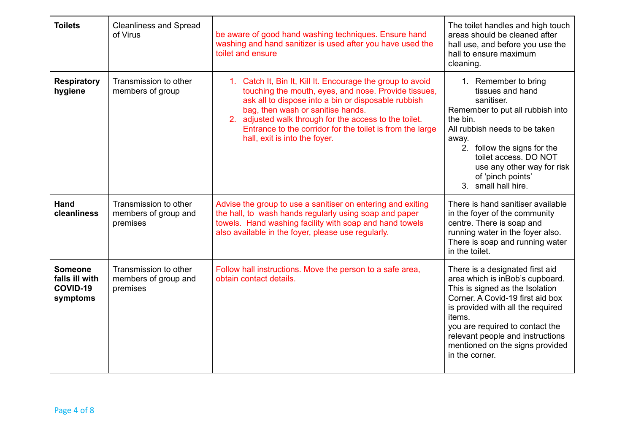| <b>Toilets</b>                                           | <b>Cleanliness and Spread</b><br>of Virus                 | be aware of good hand washing techniques. Ensure hand<br>washing and hand sanitizer is used after you have used the<br>toilet and ensure                                                                                                                                                                                                                               | The toilet handles and high touch<br>areas should be cleaned after<br>hall use, and before you use the<br>hall to ensure maximum<br>cleaning.                                                                                                                                                                        |
|----------------------------------------------------------|-----------------------------------------------------------|------------------------------------------------------------------------------------------------------------------------------------------------------------------------------------------------------------------------------------------------------------------------------------------------------------------------------------------------------------------------|----------------------------------------------------------------------------------------------------------------------------------------------------------------------------------------------------------------------------------------------------------------------------------------------------------------------|
| <b>Respiratory</b><br>hygiene                            | Transmission to other<br>members of group                 | 1. Catch It, Bin It, Kill It. Encourage the group to avoid<br>touching the mouth, eyes, and nose. Provide tissues,<br>ask all to dispose into a bin or disposable rubbish<br>bag, then wash or sanitise hands.<br>2. adjusted walk through for the access to the toilet.<br>Entrance to the corridor for the toilet is from the large<br>hall, exit is into the foyer. | 1. Remember to bring<br>tissues and hand<br>sanitiser.<br>Remember to put all rubbish into<br>the bin.<br>All rubbish needs to be taken<br>away.<br>2. follow the signs for the<br>toilet access. DO NOT<br>use any other way for risk<br>of 'pinch points'<br>3. small hall hire.                                   |
| <b>Hand</b><br>cleanliness                               | Transmission to other<br>members of group and<br>premises | Advise the group to use a sanitiser on entering and exiting<br>the hall, to wash hands regularly using soap and paper<br>towels. Hand washing facility with soap and hand towels<br>also available in the foyer, please use regularly.                                                                                                                                 | There is hand sanitiser available<br>in the foyer of the community<br>centre. There is soap and<br>running water in the foyer also.<br>There is soap and running water<br>in the toilet.                                                                                                                             |
| <b>Someone</b><br>falls ill with<br>COVID-19<br>symptoms | Transmission to other<br>members of group and<br>premises | Follow hall instructions. Move the person to a safe area,<br>obtain contact details.                                                                                                                                                                                                                                                                                   | There is a designated first aid<br>area which is inBob's cupboard.<br>This is signed as the Isolation<br>Corner, A Covid-19 first aid box<br>is provided with all the required<br>items.<br>you are required to contact the<br>relevant people and instructions<br>mentioned on the signs provided<br>in the corner. |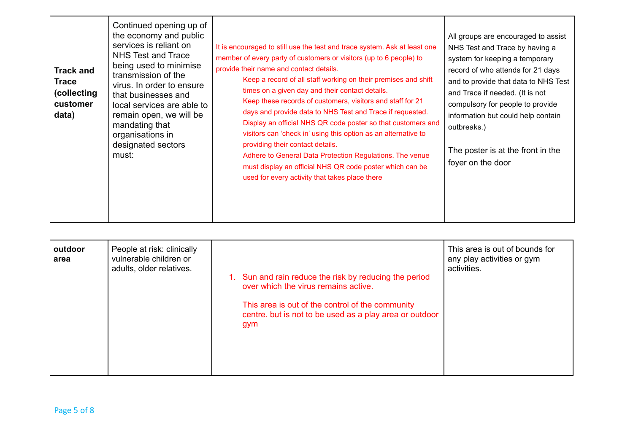| services is reliant on<br>NHS Test and Trace<br><b>Track and</b><br>transmission of the<br><b>Trace</b><br>(collecting<br>that businesses and<br>customer<br>data)<br>mandating that<br>organisations in<br>designated sectors<br>must: | Continued opening up of<br>the economy and public<br>being used to minimise<br>virus. In order to ensure<br>local services are able to<br>remain open, we will be | It is encouraged to still use the test and trace system. Ask at least one<br>member of every party of customers or visitors (up to 6 people) to<br>provide their name and contact details.<br>Keep a record of all staff working on their premises and shift<br>times on a given day and their contact details.<br>Keep these records of customers, visitors and staff for 21<br>days and provide data to NHS Test and Trace if requested.<br>Display an official NHS QR code poster so that customers and<br>visitors can 'check in' using this option as an alternative to<br>providing their contact details.<br>Adhere to General Data Protection Regulations. The venue<br>must display an official NHS QR code poster which can be<br>used for every activity that takes place there | All groups are encouraged to assist<br>NHS Test and Trace by having a<br>system for keeping a temporary<br>record of who attends for 21 days<br>and to provide that data to NHS Test<br>and Trace if needed. (It is not<br>compulsory for people to provide<br>information but could help contain<br>outbreaks.)<br>The poster is at the front in the<br>foyer on the door |
|-----------------------------------------------------------------------------------------------------------------------------------------------------------------------------------------------------------------------------------------|-------------------------------------------------------------------------------------------------------------------------------------------------------------------|--------------------------------------------------------------------------------------------------------------------------------------------------------------------------------------------------------------------------------------------------------------------------------------------------------------------------------------------------------------------------------------------------------------------------------------------------------------------------------------------------------------------------------------------------------------------------------------------------------------------------------------------------------------------------------------------------------------------------------------------------------------------------------------------|----------------------------------------------------------------------------------------------------------------------------------------------------------------------------------------------------------------------------------------------------------------------------------------------------------------------------------------------------------------------------|
|-----------------------------------------------------------------------------------------------------------------------------------------------------------------------------------------------------------------------------------------|-------------------------------------------------------------------------------------------------------------------------------------------------------------------|--------------------------------------------------------------------------------------------------------------------------------------------------------------------------------------------------------------------------------------------------------------------------------------------------------------------------------------------------------------------------------------------------------------------------------------------------------------------------------------------------------------------------------------------------------------------------------------------------------------------------------------------------------------------------------------------------------------------------------------------------------------------------------------------|----------------------------------------------------------------------------------------------------------------------------------------------------------------------------------------------------------------------------------------------------------------------------------------------------------------------------------------------------------------------------|

| outdoor<br>People at risk: clinically<br>vulnerable children or<br>area<br>adults, older relatives. | 1. Sun and rain reduce the risk by reducing the period<br>over which the virus remains active.<br>This area is out of the control of the community<br>centre. but is not to be used as a play area or outdoor<br>gym | This area is out of bounds for<br>any play activities or gym<br>activities. |
|-----------------------------------------------------------------------------------------------------|----------------------------------------------------------------------------------------------------------------------------------------------------------------------------------------------------------------------|-----------------------------------------------------------------------------|
|-----------------------------------------------------------------------------------------------------|----------------------------------------------------------------------------------------------------------------------------------------------------------------------------------------------------------------------|-----------------------------------------------------------------------------|